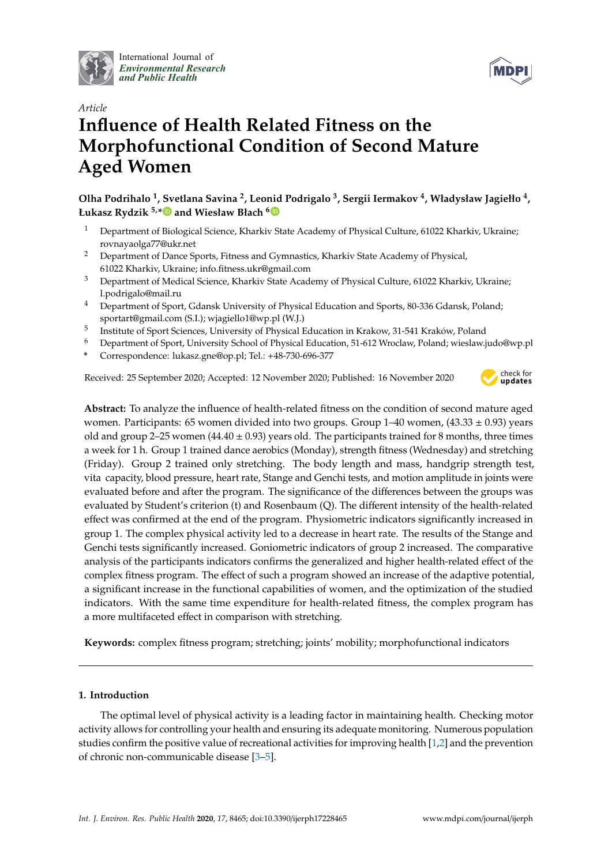

International Journal of *[Environmental Research](http://www.mdpi.com/journal/ijerph) and Public Health*



# *Article* **Influence of Health Related Fitness on the Morphofunctional Condition of Second Mature Aged Women**

**Olha Podrihalo <sup>1</sup> , Svetlana Savina <sup>2</sup> , Leonid Podrigalo <sup>3</sup> , Sergii Iermakov <sup>4</sup> , Władysław Jagiełło <sup>4</sup> , Łukasz Rydzik 5,[\\*](https://orcid.org/0000-0001-7956-7488) and Wiesław Błach [6](https://orcid.org/0000-0002-3559-9151)**

- <sup>1</sup> Department of Biological Science, Kharkiv State Academy of Physical Culture, 61022 Kharkiv, Ukraine; rovnayaolga77@ukr.net
- <sup>2</sup> Department of Dance Sports, Fitness and Gymnastics, Kharkiv State Academy of Physical, 61022 Kharkiv, Ukraine; info.fitness.ukr@gmail.com
- <sup>3</sup> Department of Medical Science, Kharkiv State Academy of Physical Culture, 61022 Kharkiv, Ukraine; l.podrigalo@mail.ru
- <sup>4</sup> Department of Sport, Gdansk University of Physical Education and Sports, 80-336 Gdansk, Poland; sportart@gmail.com (S.I.); wjagiello1@wp.pl (W.J.)
- 5 Institute of Sport Sciences, University of Physical Education in Krakow, 31-541 Kraków, Poland
- <sup>6</sup> Department of Sport, University School of Physical Education, 51-612 Wroclaw, Poland; wieslaw.judo@wp.pl
- **\*** Correspondence: lukasz.gne@op.pl; Tel.: +48-730-696-377

Received: 25 September 2020; Accepted: 12 November 2020; Published: 16 November 2020



**Abstract:** To analyze the influence of health-related fitness on the condition of second mature aged women. Participants: 65 women divided into two groups. Group  $1-40$  women,  $(43.33 \pm 0.93)$  years old and group 2–25 women  $(44.40 \pm 0.93)$  years old. The participants trained for 8 months, three times a week for 1 h. Group 1 trained dance aerobics (Monday), strength fitness (Wednesday) and stretching (Friday). Group 2 trained only stretching. The body length and mass, handgrip strength test, vita capacity, blood pressure, heart rate, Stange and Genchi tests, and motion amplitude in joints were evaluated before and after the program. The significance of the differences between the groups was evaluated by Student's criterion (t) and Rosenbaum (Q). The different intensity of the health-related effect was confirmed at the end of the program. Physiometric indicators significantly increased in group 1. The complex physical activity led to a decrease in heart rate. The results of the Stange and Genchi tests significantly increased. Goniometric indicators of group 2 increased. The comparative analysis of the participants indicators confirms the generalized and higher health-related effect of the complex fitness program. The effect of such a program showed an increase of the adaptive potential, a significant increase in the functional capabilities of women, and the optimization of the studied indicators. With the same time expenditure for health-related fitness, the complex program has a more multifaceted effect in comparison with stretching.

**Keywords:** complex fitness program; stretching; joints' mobility; morphofunctional indicators

# **1. Introduction**

The optimal level of physical activity is a leading factor in maintaining health. Checking motor activity allows for controlling your health and ensuring its adequate monitoring. Numerous population studies confirm the positive value of recreational activities for improving health [\[1,](#page-6-0)[2\]](#page-6-1) and the prevention of chronic non-communicable disease [\[3](#page-7-0)[–5\]](#page-7-1).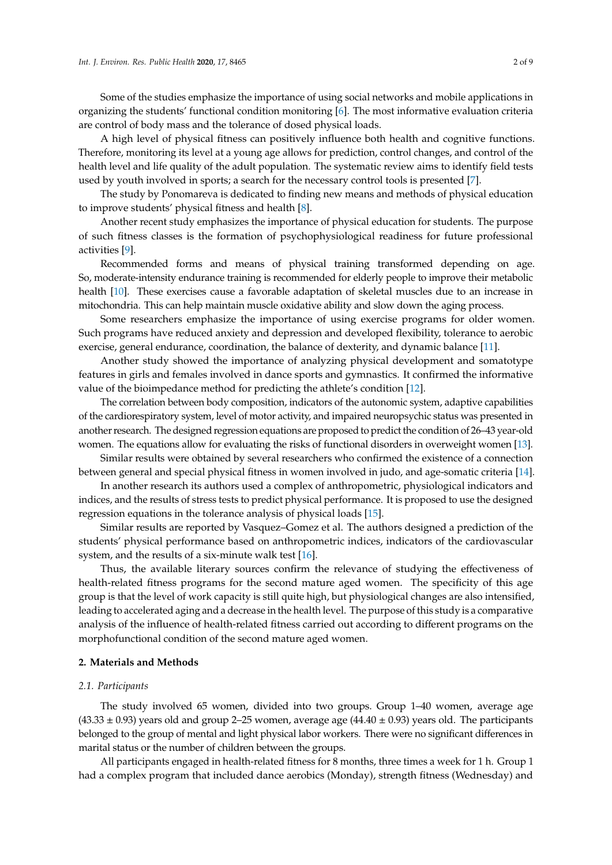Some of the studies emphasize the importance of using social networks and mobile applications in organizing the students' functional condition monitoring [\[6\]](#page-7-2). The most informative evaluation criteria are control of body mass and the tolerance of dosed physical loads.

A high level of physical fitness can positively influence both health and cognitive functions. Therefore, monitoring its level at a young age allows for prediction, control changes, and control of the health level and life quality of the adult population. The systematic review aims to identify field tests used by youth involved in sports; a search for the necessary control tools is presented [\[7\]](#page-7-3).

The study by Ponomareva is dedicated to finding new means and methods of physical education to improve students' physical fitness and health [\[8\]](#page-7-4).

Another recent study emphasizes the importance of physical education for students. The purpose of such fitness classes is the formation of psychophysiological readiness for future professional activities [\[9\]](#page-7-5).

Recommended forms and means of physical training transformed depending on age. So, moderate-intensity endurance training is recommended for elderly people to improve their metabolic health [\[10\]](#page-7-6). These exercises cause a favorable adaptation of skeletal muscles due to an increase in mitochondria. This can help maintain muscle oxidative ability and slow down the aging process.

Some researchers emphasize the importance of using exercise programs for older women. Such programs have reduced anxiety and depression and developed flexibility, tolerance to aerobic exercise, general endurance, coordination, the balance of dexterity, and dynamic balance [\[11\]](#page-7-7).

Another study showed the importance of analyzing physical development and somatotype features in girls and females involved in dance sports and gymnastics. It confirmed the informative value of the bioimpedance method for predicting the athlete's condition [\[12\]](#page-7-8).

The correlation between body composition, indicators of the autonomic system, adaptive capabilities of the cardiorespiratory system, level of motor activity, and impaired neuropsychic status was presented in another research. The designed regression equations are proposed to predict the condition of 26–43 year-old women. The equations allow for evaluating the risks of functional disorders in overweight women [\[13\]](#page-7-9).

Similar results were obtained by several researchers who confirmed the existence of a connection between general and special physical fitness in women involved in judo, and age-somatic criteria [\[14\]](#page-7-10).

In another research its authors used a complex of anthropometric, physiological indicators and indices, and the results of stress tests to predict physical performance. It is proposed to use the designed regression equations in the tolerance analysis of physical loads [\[15\]](#page-7-11).

Similar results are reported by Vasquez–Gomez et al. The authors designed a prediction of the students' physical performance based on anthropometric indices, indicators of the cardiovascular system, and the results of a six-minute walk test [\[16\]](#page-7-12).

Thus, the available literary sources confirm the relevance of studying the effectiveness of health-related fitness programs for the second mature aged women. The specificity of this age group is that the level of work capacity is still quite high, but physiological changes are also intensified, leading to accelerated aging and a decrease in the health level. The purpose of this study is a comparative analysis of the influence of health-related fitness carried out according to different programs on the morphofunctional condition of the second mature aged women.

# **2. Materials and Methods**

## *2.1. Participants*

The study involved 65 women, divided into two groups. Group 1–40 women, average age  $(43.33 \pm 0.93)$  years old and group 2–25 women, average age  $(44.40 \pm 0.93)$  years old. The participants belonged to the group of mental and light physical labor workers. There were no significant differences in marital status or the number of children between the groups.

All participants engaged in health-related fitness for 8 months, three times a week for 1 h. Group 1 had a complex program that included dance aerobics (Monday), strength fitness (Wednesday) and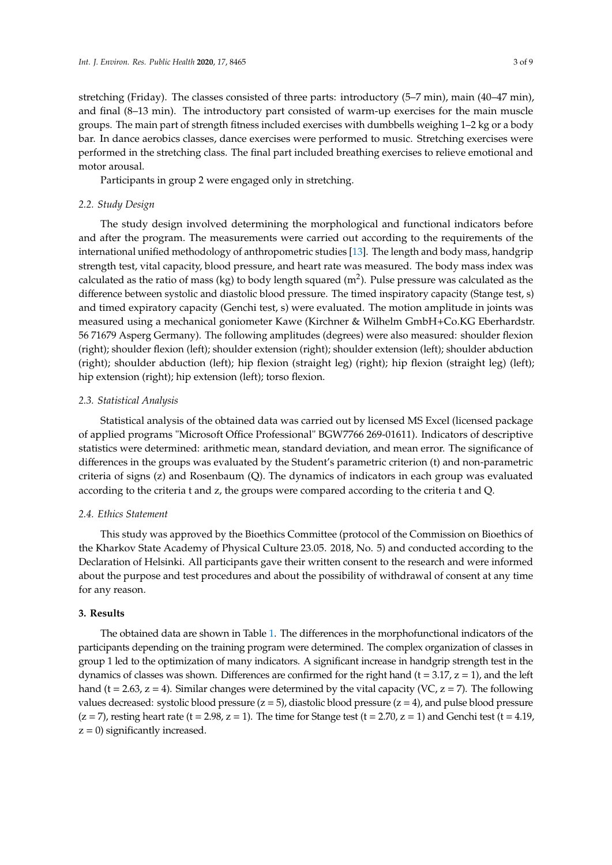stretching (Friday). The classes consisted of three parts: introductory (5–7 min), main (40–47 min), and final (8–13 min). The introductory part consisted of warm-up exercises for the main muscle groups. The main part of strength fitness included exercises with dumbbells weighing 1–2 kg or a body bar. In dance aerobics classes, dance exercises were performed to music. Stretching exercises were performed in the stretching class. The final part included breathing exercises to relieve emotional and motor arousal.

Participants in group 2 were engaged only in stretching.

# *2.2. Study Design*

The study design involved determining the morphological and functional indicators before and after the program. The measurements were carried out according to the requirements of the international unified methodology of anthropometric studies [\[13\]](#page-7-9). The length and body mass, handgrip strength test, vital capacity, blood pressure, and heart rate was measured. The body mass index was calculated as the ratio of mass (kg) to body length squared (m<sup>2</sup>). Pulse pressure was calculated as the difference between systolic and diastolic blood pressure. The timed inspiratory capacity (Stange test, s) and timed expiratory capacity (Genchi test, s) were evaluated. The motion amplitude in joints was measured using a mechanical goniometer Kawe (Kirchner & Wilhelm GmbH+Co.KG Eberhardstr. 56 71679 Asperg Germany). The following amplitudes (degrees) were also measured: shoulder flexion (right); shoulder flexion (left); shoulder extension (right); shoulder extension (left); shoulder abduction (right); shoulder abduction (left); hip flexion (straight leg) (right); hip flexion (straight leg) (left); hip extension (right); hip extension (left); torso flexion.

## *2.3. Statistical Analysis*

Statistical analysis of the obtained data was carried out by licensed MS Excel (licensed package of applied programs "Microsoft Office Professional" BGW7766 269-01611). Indicators of descriptive statistics were determined: arithmetic mean, standard deviation, and mean error. The significance of differences in the groups was evaluated by the Student's parametric criterion (t) and non-parametric criteria of signs (z) and Rosenbaum (Q). The dynamics of indicators in each group was evaluated according to the criteria t and z, the groups were compared according to the criteria t and Q.

# *2.4. Ethics Statement*

This study was approved by the Bioethics Committee (protocol of the Commission on Bioethics of the Kharkov State Academy of Physical Culture 23.05. 2018, No. 5) and conducted according to the Declaration of Helsinki. All participants gave their written consent to the research and were informed about the purpose and test procedures and about the possibility of withdrawal of consent at any time for any reason.

# **3. Results**

The obtained data are shown in Table [1.](#page-3-0) The differences in the morphofunctional indicators of the participants depending on the training program were determined. The complex organization of classes in group 1 led to the optimization of many indicators. A significant increase in handgrip strength test in the dynamics of classes was shown. Differences are confirmed for the right hand ( $t = 3.17$ ,  $z = 1$ ), and the left hand (t = 2.63, z = 4). Similar changes were determined by the vital capacity (VC,  $z = 7$ ). The following values decreased: systolic blood pressure  $(z = 5)$ , diastolic blood pressure  $(z = 4)$ , and pulse blood pressure  $(z = 7)$ , resting heart rate (t = 2.98, z = 1). The time for Stange test (t = 2.70, z = 1) and Genchi test (t = 4.19,  $z = 0$ ) significantly increased.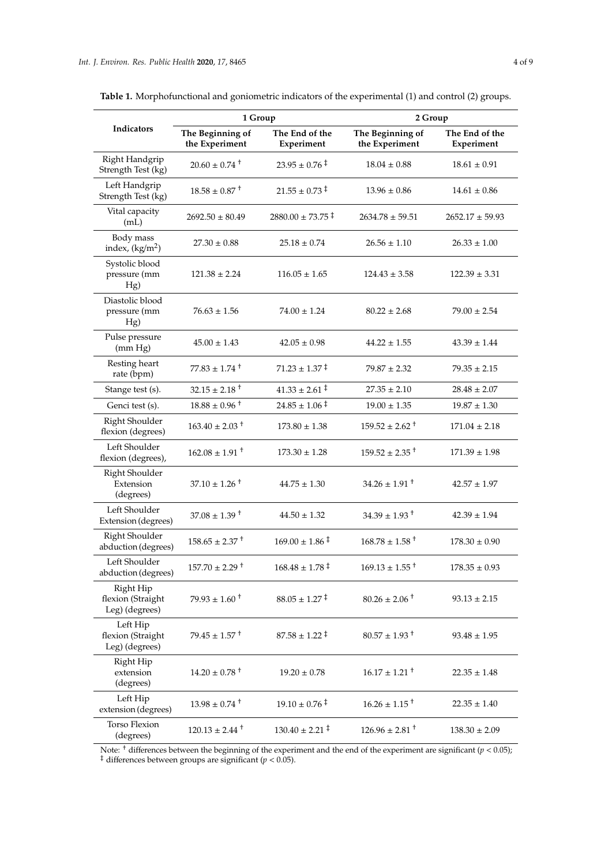|                                                  | 1 Group                            |                                      | 2 Group                            |                              |  |
|--------------------------------------------------|------------------------------------|--------------------------------------|------------------------------------|------------------------------|--|
| Indicators                                       | The Beginning of<br>the Experiment | The End of the<br>Experiment         | The Beginning of<br>the Experiment | The End of the<br>Experiment |  |
| Right Handgrip<br>Strength Test (kg)             | $20.60 \pm 0.74$ <sup>+</sup>      | $23.95 \pm 0.76^{\text{ } \ddagger}$ | $18.04 \pm 0.88$                   | $18.61 \pm 0.91$             |  |
| Left Handgrip<br>Strength Test (kg)              | $18.58 \pm 0.87$ <sup>+</sup>      | $21.55 \pm 0.73$ <sup>‡</sup>        | $13.96 \pm 0.86$                   | $14.61 \pm 0.86$             |  |
| Vital capacity<br>(mL)                           | $2692.50 \pm 80.49$                | $2880.00 \pm 73.75 \pm 73.75$        | $2634.78 \pm 59.51$                | $2652.17 \pm 59.93$          |  |
| Body mass<br>index, $(kg/m2)$                    | $27.30\pm0.88$                     | $25.18 \pm 0.74$                     | $26.56 \pm 1.10$                   | $26.33 \pm 1.00$             |  |
| Systolic blood<br>pressure (mm<br>Hg)            | $121.38 \pm 2.24$                  | $116.05 \pm 1.65$                    | $124.43 \pm 3.58$                  | $122.39 \pm 3.31$            |  |
| Diastolic blood<br>pressure (mm<br>Hg)           | $76.63 \pm 1.56$                   | $74.00 \pm 1.24$                     | $80.22 \pm 2.68$                   | $79.00 \pm 2.54$             |  |
| Pulse pressure<br>(mm Hg)                        | $45.00 \pm 1.43$                   | $42.05 \pm 0.98$                     | $44.22 \pm 1.55$                   | $43.39 \pm 1.44$             |  |
| Resting heart<br>rate (bpm)                      | $77.83 \pm 1.74$ <sup>+</sup>      | $71.23 \pm 1.37^{\frac{1}{2}}$       | $79.87 \pm 2.32$                   | $79.35 \pm 2.15$             |  |
| Stange test (s).                                 | $32.15 \pm 2.18$ <sup>+</sup>      | $41.33 \pm 2.61^{\text{ } \ddagger}$ | $27.35 \pm 2.10$                   | $28.48 \pm 2.07$             |  |
| Genci test (s).                                  | $18.88 \pm 0.96$ <sup>+</sup>      | $24.85 \pm 1.06 \pm 1.06$            | $19.00 \pm 1.35$                   | $19.87 \pm 1.30$             |  |
| Right Shoulder<br>flexion (degrees)              | $163.40 \pm 2.03$ <sup>+</sup>     | $173.80 \pm 1.38$                    | $159.52 \pm 2.62$ <sup>+</sup>     | $171.04 \pm 2.18$            |  |
| Left Shoulder<br>flexion (degrees),              | $162.08 \pm 1.91$ <sup>+</sup>     | $173.30 \pm 1.28$                    | $159.52 \pm 2.35$ <sup>+</sup>     | $171.39 \pm 1.98$            |  |
| Right Shoulder<br>Extension<br>(degrees)         | $37.10 \pm 1.26$ <sup>+</sup>      | $44.75 \pm 1.30$                     | $34.26 \pm 1.91$ <sup>+</sup>      | $42.57 \pm 1.97$             |  |
| Left Shoulder<br>Extension (degrees)             | $37.08 \pm 1.39$ <sup>+</sup>      | $44.50 \pm 1.32$                     | $34.39 \pm 1.93$ <sup>+</sup>      | $42.39 \pm 1.94$             |  |
| Right Shoulder<br>abduction (degrees)            | $158.65 \pm 2.37$ <sup>+</sup>     | $169.00 \pm 1.86 \pm 1.86$           | $168.78 \pm 1.58$ <sup>+</sup>     | $178.30 \pm 0.90$            |  |
| Left Shoulder<br>abduction (degrees)             | $157.70 \pm 2.29$ <sup>+</sup>     | $168.48 \pm 1.78$ <sup>‡</sup>       | $169.13 \pm 1.55$ <sup>+</sup>     | $178.35 \pm 0.93$            |  |
| Right Hip<br>flexion (Straight<br>Leg) (degrees) | $79.93 \pm 1.60^+$                 | $88.05 \pm 1.27^{\ddagger}$          | $80.26 \pm 2.06$ <sup>+</sup>      | $93.13 \pm 2.15$             |  |
| Left Hip<br>flexion (Straight<br>Leg) (degrees)  | $79.45 \pm 1.57$ <sup>+</sup>      | $87.58 \pm 1.22$ <sup>‡</sup>        | $80.57 \pm 1.93$ <sup>+</sup>      | $93.48 \pm 1.95$             |  |
| Right Hip<br>extension<br>(degrees)              | $14.20 \pm 0.78$ <sup>+</sup>      | $19.20 \pm 0.78$                     | $16.17 \pm 1.21$ <sup>+</sup>      | $22.35 \pm 1.48$             |  |
| Left Hip<br>extension (degrees)                  | $13.98\pm0.74$ $^{\dagger}$        | $19.10 \pm 0.76 \pm 1$               | $16.26 \pm 1.15$ <sup>+</sup>      | $22.35 \pm 1.40$             |  |
| <b>Torso Flexion</b><br>(degrees)                | $120.13 \pm 2.44$ <sup>+</sup>     | $130.40 \pm 2.21$ <sup>‡</sup>       | $126.96 \pm 2.81$ <sup>+</sup>     | $138.30 \pm 2.09$            |  |

<span id="page-3-0"></span>

| Table 1. Morphofunctional and goniometric indicators of the experimental (1) and control (2) groups. |  |  |  |
|------------------------------------------------------------------------------------------------------|--|--|--|
|                                                                                                      |  |  |  |

Note:  $<sup>†</sup>$  differences between the beginning of the experiment and the end of the experiment are significant ( $p < 0.05$ );</sup>  $\ddagger$  differences between groups are significant ( $p < 0.05$ ).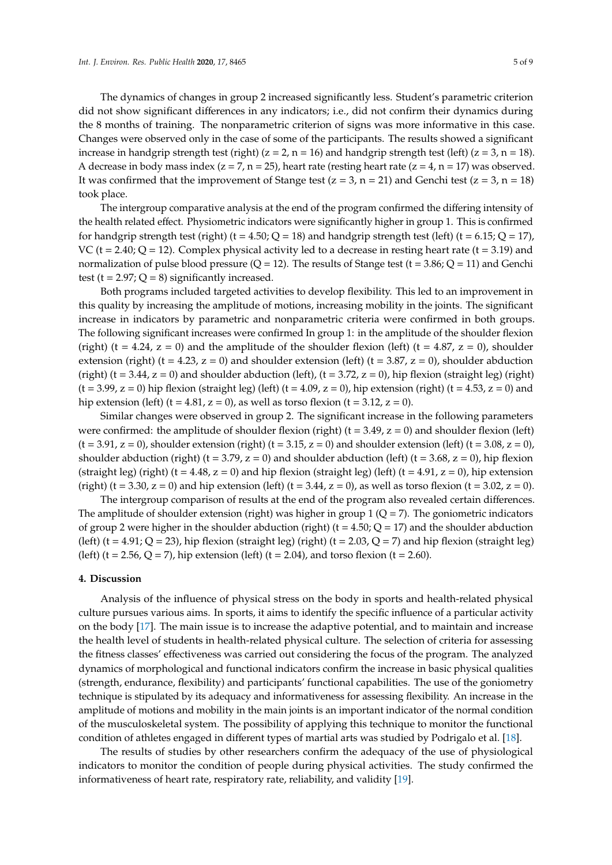The dynamics of changes in group 2 increased significantly less. Student's parametric criterion did not show significant differences in any indicators; i.e., did not confirm their dynamics during the 8 months of training. The nonparametric criterion of signs was more informative in this case. Changes were observed only in the case of some of the participants. The results showed a significant increase in handgrip strength test (right) ( $z = 2$ ,  $n = 16$ ) and handgrip strength test (left) ( $z = 3$ ,  $n = 18$ ). A decrease in body mass index ( $z = 7$ ,  $n = 25$ ), heart rate (resting heart rate ( $z = 4$ ,  $n = 17$ ) was observed. It was confirmed that the improvement of Stange test  $(z = 3, n = 21)$  and Genchi test  $(z = 3, n = 18)$ took place.

The intergroup comparative analysis at the end of the program confirmed the differing intensity of the health related effect. Physiometric indicators were significantly higher in group 1. This is confirmed for handgrip strength test (right) (t = 4.50;  $Q = 18$ ) and handgrip strength test (left) (t = 6.15;  $Q = 17$ ), VC ( $t = 2.40$ ; Q = 12). Complex physical activity led to a decrease in resting heart rate ( $t = 3.19$ ) and normalization of pulse blood pressure  $(Q = 12)$ . The results of Stange test (t = 3.86;  $Q = 11$ ) and Genchi test ( $t = 2.97$ ;  $Q = 8$ ) significantly increased.

Both programs included targeted activities to develop flexibility. This led to an improvement in this quality by increasing the amplitude of motions, increasing mobility in the joints. The significant increase in indicators by parametric and nonparametric criteria were confirmed in both groups. The following significant increases were confirmed In group 1: in the amplitude of the shoulder flexion (right) ( $t = 4.24$ ,  $z = 0$ ) and the amplitude of the shoulder flexion (left) ( $t = 4.87$ ,  $z = 0$ ), shoulder extension (right) (t = 4.23,  $z = 0$ ) and shoulder extension (left) (t = 3.87,  $z = 0$ ), shoulder abduction (right) (t = 3.44, z = 0) and shoulder abduction (left), (t = 3.72, z = 0), hip flexion (straight leg) (right)  $(t = 3.99, z = 0)$  hip flexion (straight leg) (left)  $(t = 4.09, z = 0)$ , hip extension (right)  $(t = 4.53, z = 0)$  and hip extension (left) (t = 4.81, z = 0), as well as torso flexion (t = 3.12, z = 0).

Similar changes were observed in group 2. The significant increase in the following parameters were confirmed: the amplitude of shoulder flexion (right) ( $t = 3.49$ ,  $z = 0$ ) and shoulder flexion (left)  $(t = 3.91, z = 0)$ , shoulder extension (right)  $(t = 3.15, z = 0)$  and shoulder extension (left)  $(t = 3.08, z = 0)$ , shoulder abduction (right) (t = 3.79,  $z = 0$ ) and shoulder abduction (left) (t = 3.68,  $z = 0$ ), hip flexion (straight leg) (right) (t = 4.48,  $z = 0$ ) and hip flexion (straight leg) (left) (t = 4.91,  $z = 0$ ), hip extension (right) (t = 3.30, z = 0) and hip extension (left) (t = 3.44, z = 0), as well as torso flexion (t = 3.02, z = 0).

The intergroup comparison of results at the end of the program also revealed certain differences. The amplitude of shoulder extension (right) was higher in group  $1 (Q = 7)$ . The goniometric indicators of group 2 were higher in the shoulder abduction (right) ( $t = 4.50$ ;  $Q = 17$ ) and the shoulder abduction (left) (t = 4.91; Q = 23), hip flexion (straight leg) (right) (t = 2.03, Q = 7) and hip flexion (straight leg) (left) (t = 2.56, Q = 7), hip extension (left) (t = 2.04), and torso flexion (t = 2.60).

# **4. Discussion**

Analysis of the influence of physical stress on the body in sports and health-related physical culture pursues various aims. In sports, it aims to identify the specific influence of a particular activity on the body [\[17\]](#page-7-13). The main issue is to increase the adaptive potential, and to maintain and increase the health level of students in health-related physical culture. The selection of criteria for assessing the fitness classes' effectiveness was carried out considering the focus of the program. The analyzed dynamics of morphological and functional indicators confirm the increase in basic physical qualities (strength, endurance, flexibility) and participants' functional capabilities. The use of the goniometry technique is stipulated by its adequacy and informativeness for assessing flexibility. An increase in the amplitude of motions and mobility in the main joints is an important indicator of the normal condition of the musculoskeletal system. The possibility of applying this technique to monitor the functional condition of athletes engaged in different types of martial arts was studied by Podrigalo et al. [\[18\]](#page-7-14).

The results of studies by other researchers confirm the adequacy of the use of physiological indicators to monitor the condition of people during physical activities. The study confirmed the informativeness of heart rate, respiratory rate, reliability, and validity [\[19\]](#page-7-15).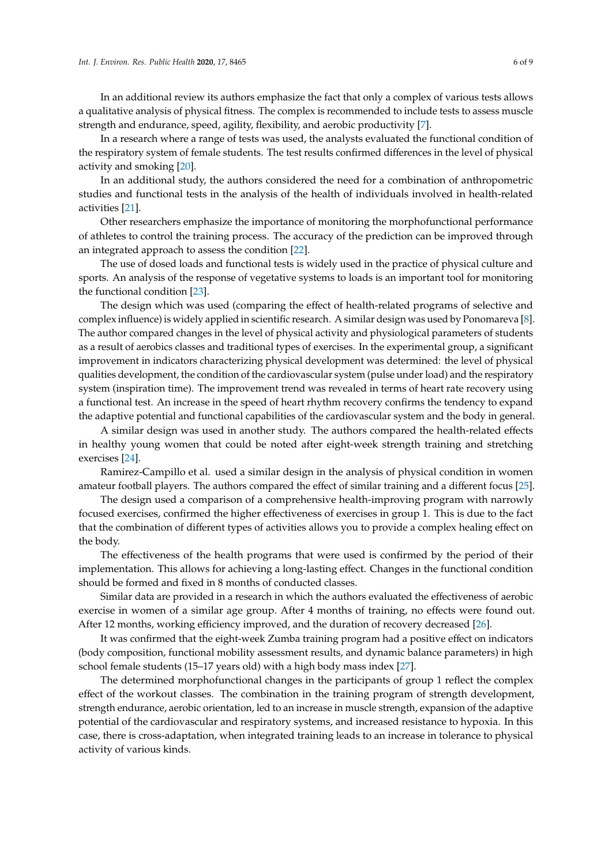In an additional review its authors emphasize the fact that only a complex of various tests allows a qualitative analysis of physical fitness. The complex is recommended to include tests to assess muscle strength and endurance, speed, agility, flexibility, and aerobic productivity [\[7\]](#page-7-3).

In a research where a range of tests was used, the analysts evaluated the functional condition of the respiratory system of female students. The test results confirmed differences in the level of physical activity and smoking [\[20\]](#page-7-16).

In an additional study, the authors considered the need for a combination of anthropometric studies and functional tests in the analysis of the health of individuals involved in health-related activities [\[21\]](#page-7-17).

Other researchers emphasize the importance of monitoring the morphofunctional performance of athletes to control the training process. The accuracy of the prediction can be improved through an integrated approach to assess the condition [\[22\]](#page-8-0).

The use of dosed loads and functional tests is widely used in the practice of physical culture and sports. An analysis of the response of vegetative systems to loads is an important tool for monitoring the functional condition [\[23\]](#page-8-1).

The design which was used (comparing the effect of health-related programs of selective and complex influence) is widely applied in scientific research. A similar design was used by Ponomareva [\[8\]](#page-7-4). The author compared changes in the level of physical activity and physiological parameters of students as a result of aerobics classes and traditional types of exercises. In the experimental group, a significant improvement in indicators characterizing physical development was determined: the level of physical qualities development, the condition of the cardiovascular system (pulse under load) and the respiratory system (inspiration time). The improvement trend was revealed in terms of heart rate recovery using a functional test. An increase in the speed of heart rhythm recovery confirms the tendency to expand the adaptive potential and functional capabilities of the cardiovascular system and the body in general.

A similar design was used in another study. The authors compared the health-related effects in healthy young women that could be noted after eight-week strength training and stretching exercises [\[24\]](#page-8-2).

Ramirez-Campillo et al. used a similar design in the analysis of physical condition in women amateur football players. The authors compared the effect of similar training and a different focus [\[25\]](#page-8-3).

The design used a comparison of a comprehensive health-improving program with narrowly focused exercises, confirmed the higher effectiveness of exercises in group 1. This is due to the fact that the combination of different types of activities allows you to provide a complex healing effect on the body.

The effectiveness of the health programs that were used is confirmed by the period of their implementation. This allows for achieving a long-lasting effect. Changes in the functional condition should be formed and fixed in 8 months of conducted classes.

Similar data are provided in a research in which the authors evaluated the effectiveness of aerobic exercise in women of a similar age group. After 4 months of training, no effects were found out. After 12 months, working efficiency improved, and the duration of recovery decreased [\[26\]](#page-8-4).

It was confirmed that the eight-week Zumba training program had a positive effect on indicators (body composition, functional mobility assessment results, and dynamic balance parameters) in high school female students (15–17 years old) with a high body mass index [\[27\]](#page-8-5).

The determined morphofunctional changes in the participants of group 1 reflect the complex effect of the workout classes. The combination in the training program of strength development, strength endurance, aerobic orientation, led to an increase in muscle strength, expansion of the adaptive potential of the cardiovascular and respiratory systems, and increased resistance to hypoxia. In this case, there is cross-adaptation, when integrated training leads to an increase in tolerance to physical activity of various kinds.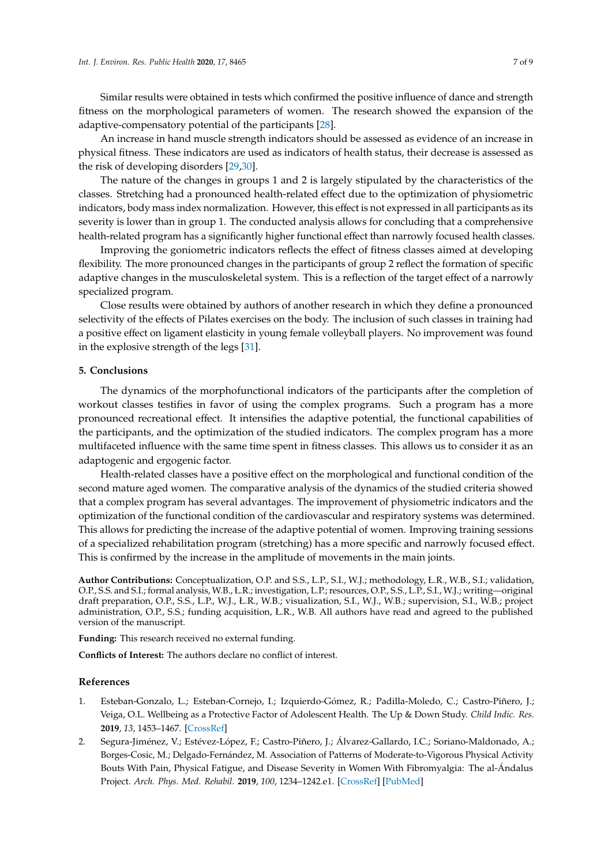Similar results were obtained in tests which confirmed the positive influence of dance and strength fitness on the morphological parameters of women. The research showed the expansion of the adaptive-compensatory potential of the participants [\[28\]](#page-8-6).

An increase in hand muscle strength indicators should be assessed as evidence of an increase in physical fitness. These indicators are used as indicators of health status, their decrease is assessed as the risk of developing disorders [\[29,](#page-8-7)[30\]](#page-8-8).

The nature of the changes in groups 1 and 2 is largely stipulated by the characteristics of the classes. Stretching had a pronounced health-related effect due to the optimization of physiometric indicators, body mass index normalization. However, this effect is not expressed in all participants as its severity is lower than in group 1. The conducted analysis allows for concluding that a comprehensive health-related program has a significantly higher functional effect than narrowly focused health classes.

Improving the goniometric indicators reflects the effect of fitness classes aimed at developing flexibility. The more pronounced changes in the participants of group 2 reflect the formation of specific adaptive changes in the musculoskeletal system. This is a reflection of the target effect of a narrowly specialized program.

Close results were obtained by authors of another research in which they define a pronounced selectivity of the effects of Pilates exercises on the body. The inclusion of such classes in training had a positive effect on ligament elasticity in young female volleyball players. No improvement was found in the explosive strength of the legs [\[31\]](#page-8-9).

## **5. Conclusions**

The dynamics of the morphofunctional indicators of the participants after the completion of workout classes testifies in favor of using the complex programs. Such a program has a more pronounced recreational effect. It intensifies the adaptive potential, the functional capabilities of the participants, and the optimization of the studied indicators. The complex program has a more multifaceted influence with the same time spent in fitness classes. This allows us to consider it as an adaptogenic and ergogenic factor.

Health-related classes have a positive effect on the morphological and functional condition of the second mature aged women. The comparative analysis of the dynamics of the studied criteria showed that a complex program has several advantages. The improvement of physiometric indicators and the optimization of the functional condition of the cardiovascular and respiratory systems was determined. This allows for predicting the increase of the adaptive potential of women. Improving training sessions of a specialized rehabilitation program (stretching) has a more specific and narrowly focused effect. This is confirmed by the increase in the amplitude of movements in the main joints.

**Author Contributions:** Conceptualization, O.P. and S.S., L.P., S.I., W.J.; methodology, Ł.R., W.B., S.I.; validation, O.P., S.S. and S.I.; formal analysis, W.B., Ł.R.; investigation, L.P.; resources, O.P., S.S., L.P., S.I., W.J.; writing—original draft preparation, O.P., S.S., L.P., W.J., Ł.R., W.B.; visualization, S.I., W.J., W.B.; supervision, S.I., W.B.; project administration, O.P., S.S.; funding acquisition, Ł.R., W.B. All authors have read and agreed to the published version of the manuscript.

**Funding:** This research received no external funding.

**Conflicts of Interest:** The authors declare no conflict of interest.

## **References**

- <span id="page-6-0"></span>1. Esteban-Gonzalo, L.; Esteban-Cornejo, I.; Izquierdo-Gómez, R.; Padilla-Moledo, C.; Castro-Piñero, J.; Veiga, O.L. Wellbeing as a Protective Factor of Adolescent Health. The Up & Down Study. *Child Indic. Res.* **2019**, *13*, 1453–1467. [\[CrossRef\]](http://dx.doi.org/10.1007/s12187-019-09711-w)
- <span id="page-6-1"></span>2. Segura-Jiménez, V.; Estévez-López, F.; Castro-Piñero, J.; Álvarez-Gallardo, I.C.; Soriano-Maldonado, A.; Borges-Cosic, M.; Delgado-Fernández, M. Association of Patterns of Moderate-to-Vigorous Physical Activity Bouts With Pain, Physical Fatigue, and Disease Severity in Women With Fibromyalgia: The al-Ándalus Project. *Arch. Phys. Med. Rehabil.* **2019**, *100*, 1234–1242.e1. [\[CrossRef\]](http://dx.doi.org/10.1016/j.apmr.2018.12.019) [\[PubMed\]](http://www.ncbi.nlm.nih.gov/pubmed/30620890)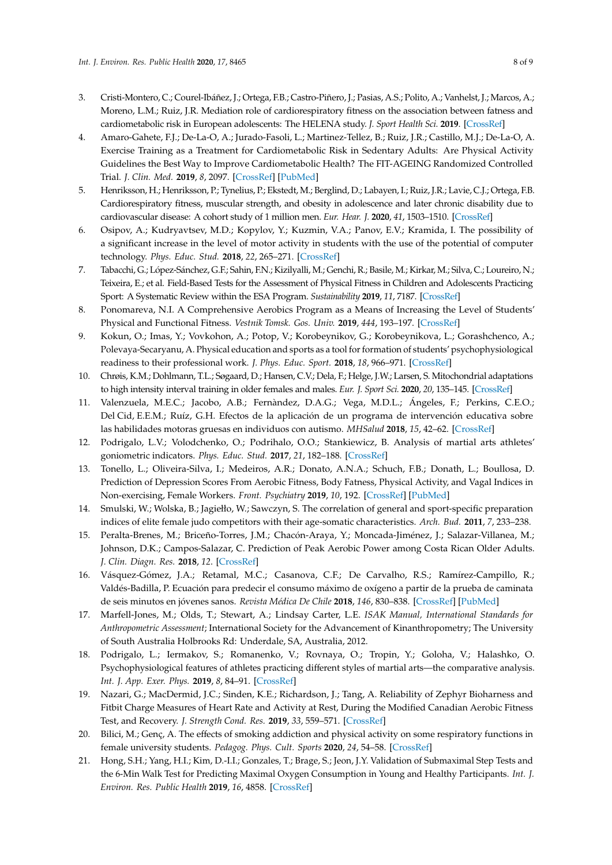- <span id="page-7-0"></span>3. Cristi-Montero, C.; Courel-Ibáñez, J.; Ortega, F.B.; Castro-Piñero, J.; Pasias, A.S.; Polito, A.; Vanhelst, J.; Marcos, A.; Moreno, L.M.; Ruiz, J.R. Mediation role of cardiorespiratory fitness on the association between fatness and cardiometabolic risk in European adolescents: The HELENA study. *J. Sport Health Sci.* **2019**. [\[CrossRef\]](http://dx.doi.org/10.1016/j.jshs.2019.08.003)
- 4. Amaro-Gahete, F.J.; De-La-O, A.; Jurado-Fasoli, L.; Martinez-Tellez, B.; Ruiz, J.R.; Castillo, M.J.; De-La-O, A. Exercise Training as a Treatment for Cardiometabolic Risk in Sedentary Adults: Are Physical Activity Guidelines the Best Way to Improve Cardiometabolic Health? The FIT-AGEING Randomized Controlled Trial. *J. Clin. Med.* **2019**, *8*, 2097. [\[CrossRef\]](http://dx.doi.org/10.3390/jcm8122097) [\[PubMed\]](http://www.ncbi.nlm.nih.gov/pubmed/31805736)
- <span id="page-7-1"></span>5. Henriksson, H.; Henriksson, P.; Tynelius, P.; Ekstedt, M.; Berglind, D.; Labayen, I.; Ruiz, J.R.; Lavie, C.J.; Ortega, F.B. Cardiorespiratory fitness, muscular strength, and obesity in adolescence and later chronic disability due to cardiovascular disease: A cohort study of 1 million men. *Eur. Hear. J.* **2020**, *41*, 1503–1510. [\[CrossRef\]](http://dx.doi.org/10.1093/eurheartj/ehz774)
- <span id="page-7-2"></span>6. Osipov, A.; Kudryavtsev, M.D.; Kopylov, Y.; Kuzmin, V.A.; Panov, E.V.; Kramida, I. The possibility of a significant increase in the level of motor activity in students with the use of the potential of computer technology. *Phys. Educ. Stud.* **2018**, *22*, 265–271. [\[CrossRef\]](http://dx.doi.org/10.15561/20755279.2018.0506)
- <span id="page-7-3"></span>7. Tabacchi, G.; López-Sánchez, G.F.; Sahin, F.N.; Kizilyalli, M.; Genchi, R.; Basile, M.; Kirkar, M.; Silva, C.; Loureiro, N.; Teixeira, E.; et al. Field-Based Tests for the Assessment of Physical Fitness in Children and Adolescents Practicing Sport: A Systematic Review within the ESA Program. *Sustainability* **2019**, *11*, 7187. [\[CrossRef\]](http://dx.doi.org/10.3390/su11247187)
- <span id="page-7-4"></span>8. Ponomareva, N.I. A Comprehensive Aerobics Program as a Means of Increasing the Level of Students' Physical and Functional Fitness. *Vestnik Tomsk. Gos. Univ.* **2019**, *444*, 193–197. [\[CrossRef\]](http://dx.doi.org/10.17223/15617793/444/24)
- <span id="page-7-5"></span>9. Kokun, O.; Imas, Y.; Vovkohon, A.; Potop, V.; Korobeynikov, G.; Korobeynikova, L.; Gorashchenco, A.; Polevaya-Secaryanu, A. Physical education and sports as a tool for formation of students' psychophysiological readiness to their professional work. *J. Phys. Educ. Sport.* **2018**, *18*, 966–971. [\[CrossRef\]](http://dx.doi.org/10.7752/jpes.2018.02143)
- <span id="page-7-6"></span>10. Chrøis, K.M.; Dohlmann, T.L.; Søgaard, D.; Hansen, C.V.; Dela, F.; Helge, J.W.; Larsen, S. Mitochondrial adaptations to high intensity interval training in older females and males. *Eur. J. Sport Sci.* **2020**, *20*, 135–145. [\[CrossRef\]](http://dx.doi.org/10.1080/17461391.2019.1615556)
- <span id="page-7-7"></span>11. Valenzuela, M.E.C.; Jacobo, A.B.; Fernàndez, D.A.G.; Vega, M.D.L.; Ángeles, F.; Perkins, C.E.O.; Del Cid, E.E.M.; Ruíz, G.H. Efectos de la aplicación de un programa de intervención educativa sobre las habilidades motoras gruesas en individuos con autismo. *MHSalud* **2018**, *15*, 42–62. [\[CrossRef\]](http://dx.doi.org/10.15359/mhs.15-1.4)
- <span id="page-7-8"></span>12. Podrigalo, L.V.; Volodchenko, O.; Podrihalo, O.O.; Stankiewicz, B. Analysis of martial arts athletes' goniometric indicators. *Phys. Educ. Stud.* **2017**, *21*, 182–188. [\[CrossRef\]](http://dx.doi.org/10.15561/20755279.2017.0406)
- <span id="page-7-9"></span>13. Tonello, L.; Oliveira-Silva, I.; Medeiros, A.R.; Donato, A.N.A.; Schuch, F.B.; Donath, L.; Boullosa, D. Prediction of Depression Scores From Aerobic Fitness, Body Fatness, Physical Activity, and Vagal Indices in Non-exercising, Female Workers. *Front. Psychiatry* **2019**, *10*, 192. [\[CrossRef\]](http://dx.doi.org/10.3389/fpsyt.2019.00192) [\[PubMed\]](http://www.ncbi.nlm.nih.gov/pubmed/31031652)
- <span id="page-7-10"></span>14. Smulski, W.; Wolska, B.; Jagiełło, W.; Sawczyn, S. The correlation of general and sport-specific preparation indices of elite female judo competitors with their age-somatic characteristics. *Arch. Bud.* **2011**, *7*, 233–238.
- <span id="page-7-11"></span>15. Peralta-Brenes, M.; Briceño-Torres, J.M.; Chacón-Araya, Y.; Moncada-Jiménez, J.; Salazar-Villanea, M.; Johnson, D.K.; Campos-Salazar, C. Prediction of Peak Aerobic Power among Costa Rican Older Adults. *J. Clin. Diagn. Res.* **2018**, *12*. [\[CrossRef\]](http://dx.doi.org/10.7860/jcdr/2018/37095.12191)
- <span id="page-7-12"></span>16. Vásquez-Gómez, J.A.; Retamal, M.C.; Casanova, C.F.; De Carvalho, R.S.; Ramírez-Campillo, R.; Valdés-Badilla, P. Ecuación para predecir el consumo máximo de oxígeno a partir de la prueba de caminata de seis minutos en jóvenes sanos. *Revista Médica De Chile* **2018**, *146*, 830–838. [\[CrossRef\]](http://dx.doi.org/10.4067/s0034-98872018000700830) [\[PubMed\]](http://www.ncbi.nlm.nih.gov/pubmed/30534881)
- <span id="page-7-13"></span>17. Marfell-Jones, M.; Olds, T.; Stewart, A.; Lindsay Carter, L.E. *ISAK Manual, International Standards for Anthropometric Assessment*; International Society for the Advancement of Kinanthropometry; The University of South Australia Holbrooks Rd: Underdale, SA, Australia, 2012.
- <span id="page-7-14"></span>18. Podrigalo, L.; Iermakov, S.; Romanenko, V.; Rovnaya, O.; Tropin, Y.; Goloha, V.; Halashko, O. Psychophysiological features of athletes practicing different styles of martial arts—the comparative analysis. *Int. J. App. Exer. Phys.* **2019**, *8*, 84–91. [\[CrossRef\]](http://dx.doi.org/10.30472/ijaep.v8i1.299)
- <span id="page-7-15"></span>19. Nazari, G.; MacDermid, J.C.; Sinden, K.E.; Richardson, J.; Tang, A. Reliability of Zephyr Bioharness and Fitbit Charge Measures of Heart Rate and Activity at Rest, During the Modified Canadian Aerobic Fitness Test, and Recovery. *J. Strength Cond. Res.* **2019**, *33*, 559–571. [\[CrossRef\]](http://dx.doi.org/10.1519/JSC.0000000000001842)
- <span id="page-7-16"></span>20. Bilici, M.; Genç, A. The effects of smoking addiction and physical activity on some respiratory functions in female university students. *Pedagog. Phys. Cult. Sports* **2020**, *24*, 54–58. [\[CrossRef\]](http://dx.doi.org/10.15561/26649837.2020.0201)
- <span id="page-7-17"></span>21. Hong, S.H.; Yang, H.I.; Kim, D.-I.I.; Gonzales, T.; Brage, S.; Jeon, J.Y. Validation of Submaximal Step Tests and the 6-Min Walk Test for Predicting Maximal Oxygen Consumption in Young and Healthy Participants. *Int. J. Environ. Res. Public Health* **2019**, *16*, 4858. [\[CrossRef\]](http://dx.doi.org/10.3390/ijerph16234858)